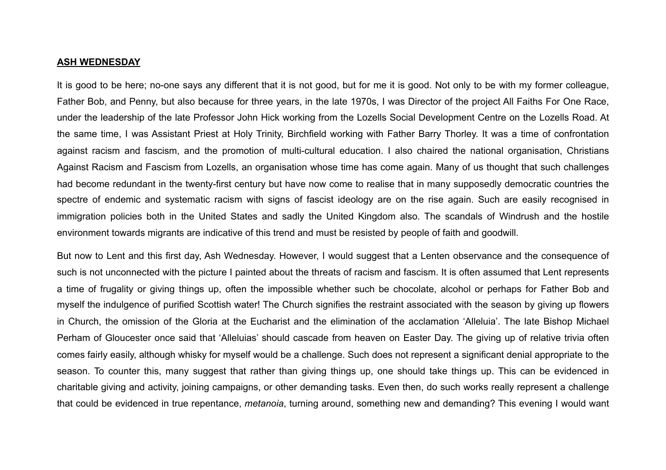## **ASH WEDNESDAY**

It is good to be here; no-one says any different that it is not good, but for me it is good. Not only to be with my former colleague, Father Bob, and Penny, but also because for three years, in the late 1970s, I was Director of the project All Faiths For One Race, under the leadership of the late Professor John Hick working from the Lozells Social Development Centre on the Lozells Road. At the same time, I was Assistant Priest at Holy Trinity, Birchfield working with Father Barry Thorley. It was a time of confrontation against racism and fascism, and the promotion of multi-cultural education. I also chaired the national organisation, Christians Against Racism and Fascism from Lozells, an organisation whose time has come again. Many of us thought that such challenges had become redundant in the twenty-first century but have now come to realise that in many supposedly democratic countries the spectre of endemic and systematic racism with signs of fascist ideology are on the rise again. Such are easily recognised in immigration policies both in the United States and sadly the United Kingdom also. The scandals of Windrush and the hostile environment towards migrants are indicative of this trend and must be resisted by people of faith and goodwill.

But now to Lent and this first day, Ash Wednesday. However, I would suggest that a Lenten observance and the consequence of such is not unconnected with the picture I painted about the threats of racism and fascism. It is often assumed that Lent represents a time of frugality or giving things up, often the impossible whether such be chocolate, alcohol or perhaps for Father Bob and myself the indulgence of purified Scottish water! The Church signifies the restraint associated with the season by giving up flowers in Church, the omission of the Gloria at the Eucharist and the elimination of the acclamation 'Alleluia'. The late Bishop Michael Perham of Gloucester once said that 'Alleluias' should cascade from heaven on Easter Day. The giving up of relative trivia often comes fairly easily, although whisky for myself would be a challenge. Such does not represent a significant denial appropriate to the season. To counter this, many suggest that rather than giving things up, one should take things up. This can be evidenced in charitable giving and activity, joining campaigns, or other demanding tasks. Even then, do such works really represent a challenge that could be evidenced in true repentance, *metanoia*, turning around, something new and demanding? This evening I would want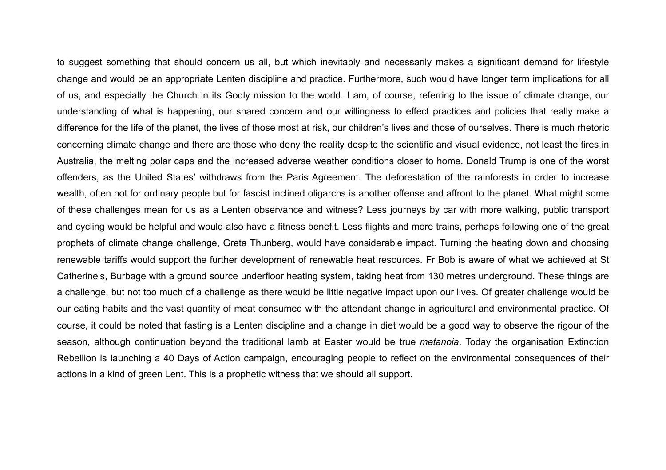to suggest something that should concern us all, but which inevitably and necessarily makes a significant demand for lifestyle change and would be an appropriate Lenten discipline and practice. Furthermore, such would have longer term implications for all of us, and especially the Church in its Godly mission to the world. I am, of course, referring to the issue of climate change, our understanding of what is happening, our shared concern and our willingness to effect practices and policies that really make a difference for the life of the planet, the lives of those most at risk, our children's lives and those of ourselves. There is much rhetoric concerning climate change and there are those who deny the reality despite the scientific and visual evidence, not least the fires in Australia, the melting polar caps and the increased adverse weather conditions closer to home. Donald Trump is one of the worst offenders, as the United States' withdraws from the Paris Agreement. The deforestation of the rainforests in order to increase wealth, often not for ordinary people but for fascist inclined oligarchs is another offense and affront to the planet. What might some of these challenges mean for us as a Lenten observance and witness? Less journeys by car with more walking, public transport and cycling would be helpful and would also have a fitness benefit. Less flights and more trains, perhaps following one of the great prophets of climate change challenge, Greta Thunberg, would have considerable impact. Turning the heating down and choosing renewable tariffs would support the further development of renewable heat resources. Fr Bob is aware of what we achieved at St Catherine's, Burbage with a ground source underfloor heating system, taking heat from 130 metres underground. These things are a challenge, but not too much of a challenge as there would be little negative impact upon our lives. Of greater challenge would be our eating habits and the vast quantity of meat consumed with the attendant change in agricultural and environmental practice. Of course, it could be noted that fasting is a Lenten discipline and a change in diet would be a good way to observe the rigour of the season, although continuation beyond the traditional lamb at Easter would be true *metanoia*. Today the organisation Extinction Rebellion is launching a 40 Days of Action campaign, encouraging people to reflect on the environmental consequences of their actions in a kind of green Lent. This is a prophetic witness that we should all support.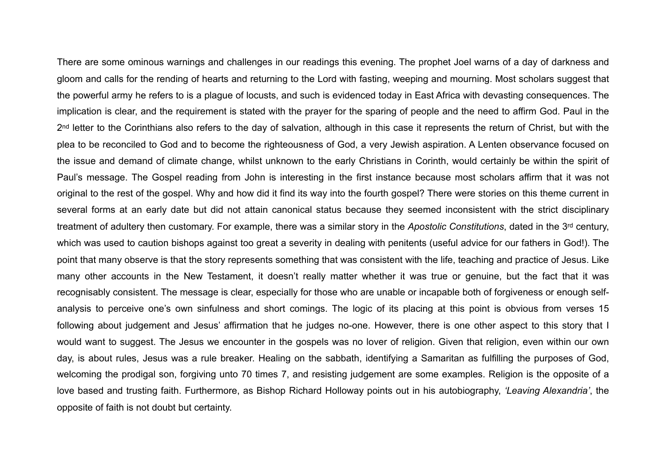There are some ominous warnings and challenges in our readings this evening. The prophet Joel warns of a day of darkness and gloom and calls for the rending of hearts and returning to the Lord with fasting, weeping and mourning. Most scholars suggest that the powerful army he refers to is a plague of locusts, and such is evidenced today in East Africa with devasting consequences. The implication is clear, and the requirement is stated with the prayer for the sparing of people and the need to affirm God. Paul in the 2<sup>nd</sup> letter to the Corinthians also refers to the day of salvation, although in this case it represents the return of Christ, but with the plea to be reconciled to God and to become the righteousness of God, a very Jewish aspiration. A Lenten observance focused on the issue and demand of climate change, whilst unknown to the early Christians in Corinth, would certainly be within the spirit of Paul's message. The Gospel reading from John is interesting in the first instance because most scholars affirm that it was not original to the rest of the gospel. Why and how did it find its way into the fourth gospel? There were stories on this theme current in several forms at an early date but did not attain canonical status because they seemed inconsistent with the strict disciplinary treatment of adultery then customary. For example, there was a similar story in the *Apostolic Constitutions*, dated in the 3rd century, which was used to caution bishops against too great a severity in dealing with penitents (useful advice for our fathers in God!). The point that many observe is that the story represents something that was consistent with the life, teaching and practice of Jesus. Like many other accounts in the New Testament, it doesn't really matter whether it was true or genuine, but the fact that it was recognisably consistent. The message is clear, especially for those who are unable or incapable both of forgiveness or enough selfanalysis to perceive one's own sinfulness and short comings. The logic of its placing at this point is obvious from verses 15 following about judgement and Jesus' affirmation that he judges no-one. However, there is one other aspect to this story that I would want to suggest. The Jesus we encounter in the gospels was no lover of religion. Given that religion, even within our own day, is about rules, Jesus was a rule breaker. Healing on the sabbath, identifying a Samaritan as fulfilling the purposes of God, welcoming the prodigal son, forgiving unto 70 times 7, and resisting judgement are some examples. Religion is the opposite of a love based and trusting faith. Furthermore, as Bishop Richard Holloway points out in his autobiography, *'Leaving Alexandria'*, the opposite of faith is not doubt but certainty.